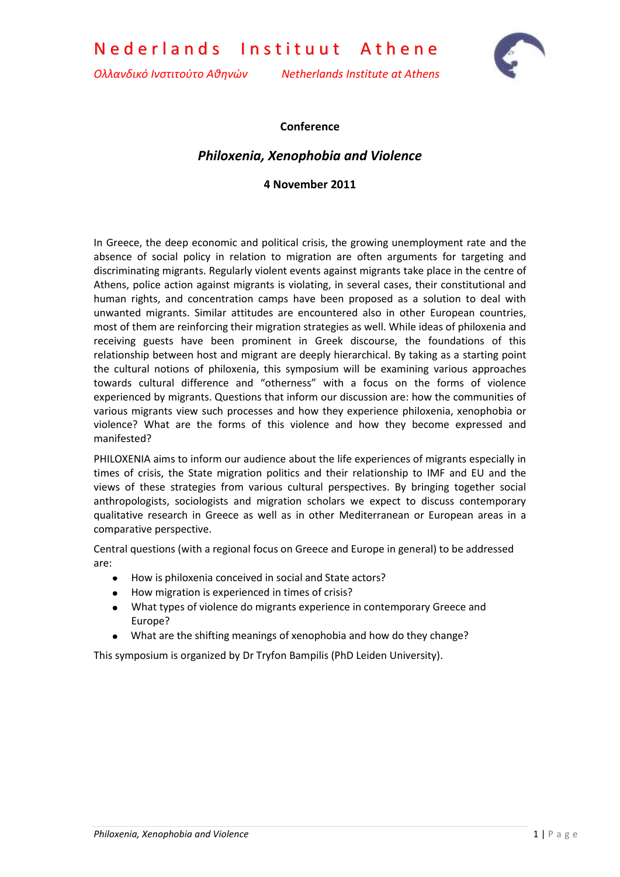Nederlands Instituut Athene

*Ολλανδικό Ινστιτούτο Αθηνών Netherlands Institute at Athens*



## **Conference**

## *Philoxenia, Xenophobia and Violence*

**4 November 2011**

In Greece, the deep economic and political crisis, the growing unemployment rate and the absence of social policy in relation to migration are often arguments for targeting and discriminating migrants. Regularly violent events against migrants take place in the centre of Athens, police action against migrants is violating, in several cases, their constitutional and human rights, and concentration camps have been proposed as a solution to deal with unwanted migrants. Similar attitudes are encountered also in other European countries, most of them are reinforcing their migration strategies as well. While ideas of philoxenia and receiving guests have been prominent in Greek discourse, the foundations of this relationship between host and migrant are deeply hierarchical. By taking as a starting point the cultural notions of philoxenia, this symposium will be examining various approaches towards cultural difference and "otherness" with a focus on the forms of violence experienced by migrants. Questions that inform our discussion are: how the communities of various migrants view such processes and how they experience philoxenia, xenophobia or violence? What are the forms of this violence and how they become expressed and manifested?

PHILOXENIA aims to inform our audience about the life experiences of migrants especially in times of crisis, the State migration politics and their relationship to IMF and EU and the views of these strategies from various cultural perspectives. By bringing together social anthropologists, sociologists and migration scholars we expect to discuss contemporary qualitative research in Greece as well as in other Mediterranean or European areas in a comparative perspective.

Central questions (with a regional focus on Greece and Europe in general) to be addressed are:

- $\bullet$ How is philoxenia conceived in social and State actors?
- How migration is experienced in times of crisis?
- What types of violence do migrants experience in contemporary Greece and Europe?
- What are the shifting meanings of xenophobia and how do they change?  $\bullet$

This symposium is organized by Dr Tryfon Bampilis (PhD Leiden University).